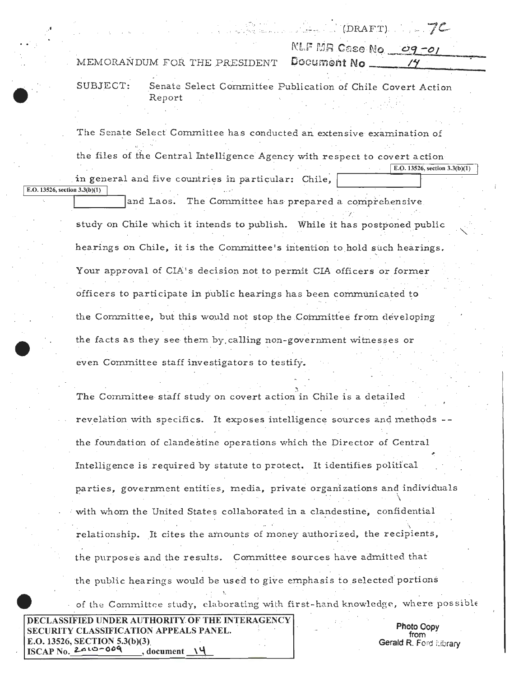(DRAFT) NLF MR Case No. 09-01 MEMORANDUM FOR THE PRESIDENT Document No. SUBJECT: Senate Select Committee Publication of Chile Covert Action Report The Senate Select Committee has conducted an extensive examination of the files of the Central Intelligence Agency with respect to covert action E.O. 13526, section  $3.3(b)(1)$ in general and five countries in particular: Chile, E.O. 13526, section  $3.3(b)(1)$ and Laos. The Committee has prepared a comprehensive study on Chile which it intends to publish. While it has postponed public

> hearings on Chile, it is the Committee's intention to hold such hearings. Your approval of CIA's decision not to permit CIA officers or former officers to participate in public hearings has been communicated to the Committee, but this would not stop the Committee from developing the facts as they see them by calling non-government witnesses or even Committee staff investigators to testify.

The Committee staff study on covert action in Chile is a detailed revelation with specifics. It exposes intelligence sources and methods -the foundation of clandestine operations which the Director of Central Intelligence is required by statute to protect. It identifies political parties, government entities, media, private organizations and individuals with whom the United States collaborated in a clandestine, confidential relationship. It cites the amounts of money authorized, the recipients, the purposes and the results. Committee sources have admitted that the public hearings would be used to give emphasis to selected portions of the Committee study, elaborating with first-hand knowledge, where possible

Photo Copy from Gerald R. Ford Elbrary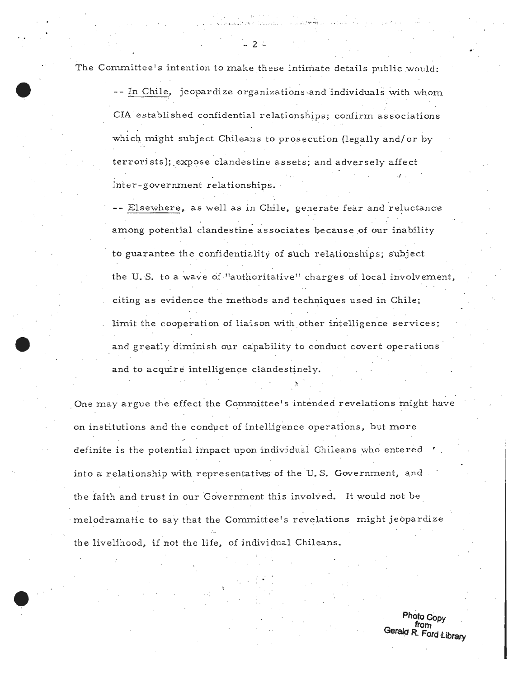The Committee's intention to make these intimate details public would:

-- In Chile, jeopardize organizations and individuals with whom . . . . . CIA established confidential relationships; confirm associations which might subject Chileans to prosecution (legally and/ or by terrorists); expose clandestine assets; and adversely affect .f . inter-government relationships. ·

- 2 ..

-- Elsewhere, as well as in Chile, generate fear and reluctance among potential clandestine associates because of our inability to guarantee the confidentiality of such relationships; subject the U.S. to a wave of "authoritative" charges of local involvement, citing as evidence the methods and techniques used in Chile; limit the cooperation of liaison with other intelligence services; and greatly diminish our capability to conduct covert operations and to acquire intelligence clandestinely.

~

One may argue the effect the Committee's intended revelations might have on institutions and the conduct of intelligence operations, but more definite is the potential impact upon individual Chileans who entered into a relationship with representatives of the U.S. Government, and the faith and trust in our Government this involved. It would not be melodramatic to say that the Committee's revelations might jeopardize the livelihood, if not the life, of individual Chileans.

> **Photo Copy from** · Gera~p **R. Ford** *Library*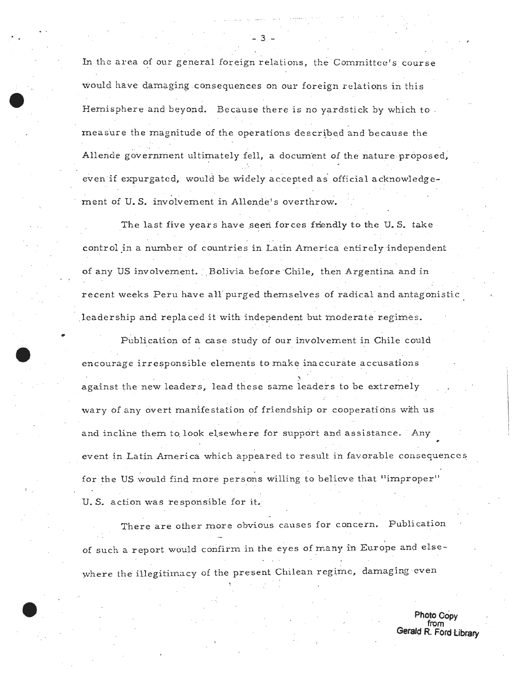In the area of our general foreign relations, the Committee's course would have damaging consequences on our foreign relations in this Hemisphere and beyond. Because there is no yardstick by which to measure the magnitude of the operations described and because the Allende government ultimately fell, a document of the nature proposed, even if expurgated, would be widely accepted as official acknowledgement of U.S. involvement in Allende's overthrow.

The last five years have seen forces friendly to the U.S. take control in a number of countries in Latin America entirely independent of any US involvement. Bolivia before Chile, then Argentina and in recent weeks Peru have all' purged themselves of radical and antagonistic leadership and replaced it with independent but moderate regimes.

• Publication of a case study of our involvement in Chile could encourage irresponsible elements to make inaccurate accusations <sup>~</sup>. . . against the new leaders, lead these same leaders to be extremely wary of any overt manifestation of friendship or cooperations with us and incline them to look elsewhere for support and assistance. Any event in Latin America which appeared to result in favorable consequences for the US would find more persons willing to believe that "improper" U.S. action was responsible for it.

There are other more obvious causes for concern. Publication of such a report would confirm in the eyes of many in Europe and elsewhere the illegitimacy of the present Chilean regime, damaging even

> **Photo Copy from Gerald R. Ford library**

.· - 3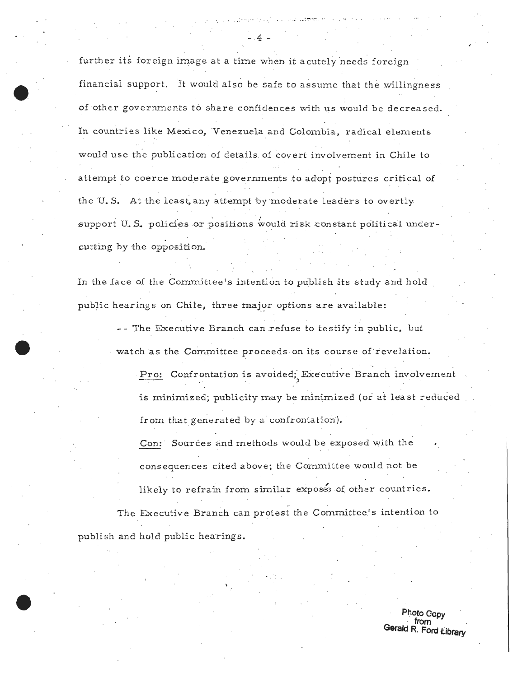further its foreign image at a time when it acutely needs foreign financial support. It would also be safe to assume that the willingness of other governments to share confidences with us would be decreased. In countries like Mexico, Venezuela and Colombia, radical elements would use the publication of details of covert involvement in Chile to attempt to coerce moderate governments to adopt postures critical of the U.S. At the least, any attempt by moderate leaders to overtly support U.S. policies or positions would risk constant political undercutting by the opposition.

In the face of the Committee's intention to publish its study and hold public hearings on Chile, three major options are available:

-- The Executive Branch can refuse to testify in public, but watch as the Committee proceeds on its course of revelation.

Pro: Confrontation is avoided; Executive Branch involvement is minimized; publicity may be minimized (or at least reduced from that generated by a confrontation).

Sources and methods would be exposed with the Con: consequences cited above; the Committee would not be likely to refrain from similar exposes of other countries.

The Executive Branch can protest the Committee's intention to publish and hold public hearings.

> Photo Copy from Gerald R. Ford Library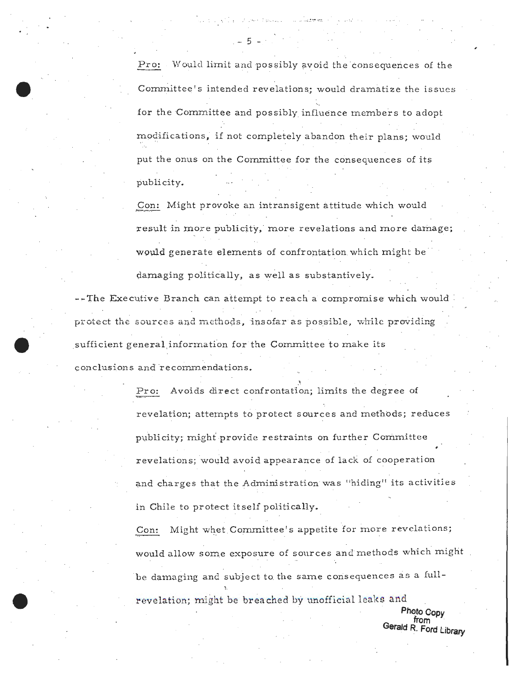Pro: Would limit and possibly avoid the consequences of the Committee's intended revelations; would dramatize the issues for the Committee and possibly influence members to adopt modifications, if not completely abandon their plans; would put the onus on the Committee for the consequences of its publicity.

the conventional complete ex-

 $-5 - 3$ 

Con: Might provoke an intransigent attitude which would result in more publicity, more revelations and more damage; would generate elements of confrontation which might be damaging politically, as well as substantively.

--The Executive Branch can attempt to reach a compromise which would protect the sources and methods, insofar as possible, while providing sufficient general information for the Committee to make its conclusions and recommendations.

> Avoids direct confrontation; limits the degree of Pro: revelation; attempts to protect sources and methods; reduces publicity; might provide restraints on further Committee revelations; would avoid appearance of lack of cooperation and charges that the Administration was "hiding" its activities in Chile to protect itself politically.

Might whet Committee's appetite for more revelations; Con: would allow some exposure of sources and methods which might be damaging and subject to the same consequences as a fullrevelation; might be breached by unofficial leaks and

> Photo Copy from<br>from<br>Gerald R. Ford Library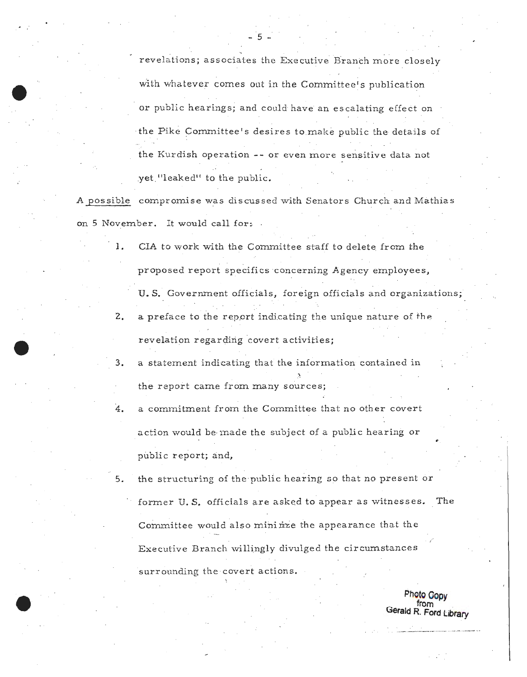revelations; associates the Executive Branch more closely with whatever comes out in the Committee's publication or public hearings; and could have an escalating effect on the Pike Committee's desires to make public the details of the Kurdish operation -- or even more sensitive data not yet "leaked" to the public.

A possible compromise was discussed with Senators Church and Mathias on 5 November. It would call for:

> 1. CIA to work with the Committee staff to delete from the proposed report specifics concerning Agency employees,

U.S. Government officials, foreign officials and organizations;  $2.$  a preface to the report indicating the unique nature of the revelation regarding covert activities;

3. a statement indicating that the information contained in the report came from many sources;

4. a commitment from the Committee that no other covert action would be made the subject of a public hearing or public report; and,

5. the structuring of the public hearing so that no present or

former U.S. officials are asked to appear as witnesses. The Committee would also mininze the appearance that the Executive Branch willingly divulged the circumstances surrounding the covert actions.

> **Photo Oopy from Gerald R. Ford Library**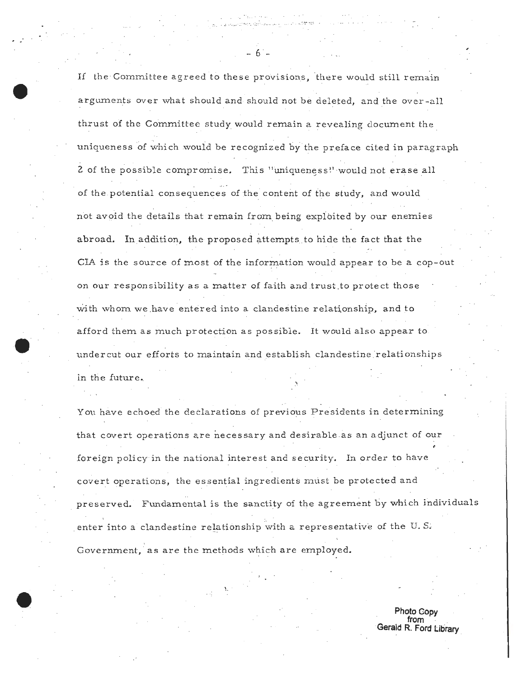If the Committee agreed to these provisions, there would still remain arguments over what should and should not be deleted, and the over-all thrust of the Committee study would remain a revealing document the . uniqueness of which would be recognized by the preface cited in paragraph 2 of the possible compromise. This "uniqueness!' would not erase all . . of the potential consequences of the content of the study, and would not avoid the details that remain from being exploited by our enemies abroad. Inaddition, the proposed attempts to hide the fact that the CIA is the source of most of the information would appear to be a cop-out on our responsibility as a matter of faith and trust.to protect those with whom we have entered into a clandestine relationship, and to afford them as much protection as possible. It would also appear to under cut our efforts to maintain and establish clandestine relationships in the future.

**e··** 

You have echoed the declarations of previous Presidents in determining that covert operations are necessary and desirable as an adjunct of our foreign policy in the national interest and security. In order to have covert operations, the essential ingredients must be protected and preserved. Fundamental is the sanctity of the agre ement by which individuals enter into a clandestine relationship with a representative of the U.S. Government, as are the methods which are employed.

> **Photo Copy from** . **Gerald R. Ford Library**

- 6 -

.. -:*..* .. : :: ••: *.* ..